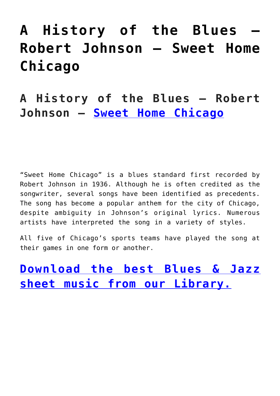## **[A History of the Blues –](https://sheetmusiclibrary.website/2022/05/10/blues-robert-johnson/) [Robert Johnson – Sweet Home](https://sheetmusiclibrary.website/2022/05/10/blues-robert-johnson/) [Chicago](https://sheetmusiclibrary.website/2022/05/10/blues-robert-johnson/)**

**A History of the Blues – Robert Johnson – [Sweet Home Chicago](https://www.youtube.com/watch?v=gSJHPDLrXtM)**

"Sweet Home Chicago" is a blues standard first recorded by Robert Johnson in 1936. Although he is often credited as the songwriter, several songs have been identified as precedents. The song has become a popular anthem for the city of Chicago, despite ambiguity in Johnson's original lyrics. Numerous artists have interpreted the song in a variety of styles.

All five of Chicago's sports teams have played the song at their games in one form or another.

**[Download the best Blues & Jazz](https://sheetmusiclibrary.website/) [sheet music from our Library.](https://sheetmusiclibrary.website/)**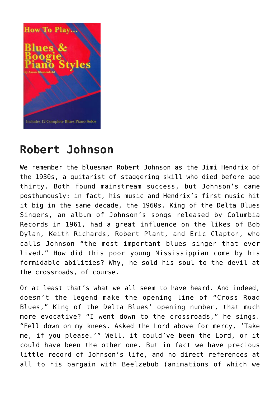

## **Robert Johnson**

We remember the bluesman Robert Johnson as the Jimi Hendrix of the 1930s, a guitarist of staggering skill who died before age thirty. Both found mainstream success, but Johnson's came posthumously: in fact, his music and Hendrix's first music hit it big in the same decade, the 1960s. King of the Delta Blues Singers, an album of Johnson's songs released by Columbia Records in 1961, had a great influence on the likes of Bob Dylan, Keith Richards, Robert Plant, and Eric Clapton, who calls Johnson "the most important blues singer that ever lived." How did this poor young Mississippian come by his formidable abilities? Why, he sold his soul to the devil at the crossroads, of course.

Or at least that's what we all seem to have heard. And indeed, doesn't the legend make the opening line of "Cross Road Blues," King of the Delta Blues' opening number, that much more evocative? "I went down to the crossroads," he sings. "Fell down on my knees. Asked the Lord above for mercy, 'Take me, if you please.'" Well, it could've been the Lord, or it could have been the other one. But in fact we have precious little record of Johnson's life, and no direct references at all to his bargain with Beelzebub (animations of which we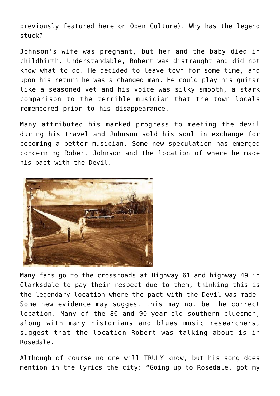previously featured here on Open Culture). Why has the legend stuck?

Johnson's wife was pregnant, but her and the baby died in childbirth. Understandable, Robert was distraught and did not know what to do. He decided to leave town for some time, and upon his return he was a changed man. He could play his guitar like a seasoned vet and his voice was silky smooth, a stark comparison to the terrible musician that the town locals remembered prior to his disappearance.

Many attributed his marked progress to meeting the devil during his travel and Johnson sold his soul in exchange for becoming a better musician. Some new speculation has emerged concerning Robert Johnson and the location of where he made his pact with the Devil.



Many fans go to the crossroads at Highway 61 and highway 49 in Clarksdale to pay their respect due to them, thinking this is the legendary location where the pact with the Devil was made. Some new evidence may suggest this may not be the correct location. Many of the 80 and 90-year-old southern bluesmen, along with many historians and blues music researchers, suggest that the location Robert was talking about is in Rosedale.

Although of course no one will TRULY know, but his song does mention in the lyrics the city: "Going up to Rosedale, got my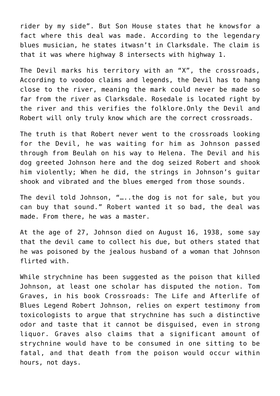rider by my side". But Son House states that he knowsfor a fact where this deal was made. According to the legendary blues musician, he states itwasn't in Clarksdale. The claim is that it was where highway 8 intersects with highway 1.

The Devil marks his territory with an "X", the crossroads, According to voodoo claims and legends, the Devil has to hang close to the river, meaning the mark could never be made so far from the river as Clarksdale. Rosedale is located right by the river and this verifies the folklore.Only the Devil and Robert will only truly know which are the correct crossroads.

The truth is that Robert never went to the crossroads looking for the Devil, he was waiting for him as Johnson passed through from Beulah on his way to Helena. The Devil and his dog greeted Johnson here and the dog seized Robert and shook him violently; When he did, the strings in Johnson's guitar shook and vibrated and the blues emerged from those sounds.

The devil told Johnson, "…..the dog is not for sale, but you can buy that sound." Robert wanted it so bad, the deal was made. From there, he was a master.

At the age of 27, Johnson died on August 16, 1938, some say that the devil came to collect his due, but others stated that he was poisoned by the jealous husband of a woman that Johnson flirted with.

While strychnine has been suggested as the poison that killed Johnson, at least one scholar has disputed the notion. Tom Graves, in his book Crossroads: The Life and Afterlife of Blues Legend Robert Johnson, relies on expert testimony from toxicologists to argue that strychnine has such a distinctive odor and taste that it cannot be disguised, even in strong liquor. Graves also claims that a significant amount of strychnine would have to be consumed in one sitting to be fatal, and that death from the poison would occur within hours, not days.